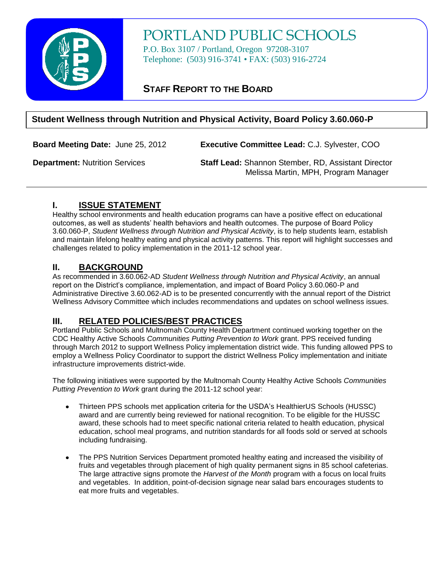

# PORTLAND PUBLIC SCHOOLS

P.O. Box 3107 / Portland, Oregon 97208-3107 Telephone: (503) 916-3741 • FAX: (503) 916-2724

# **STAFF REPORT TO THE BOARD**

## **Student Wellness through Nutrition and Physical Activity, Board Policy 3.60.060-P**

**Board Meeting Date:** June 25, 2012 **Executive Committee Lead:** C.J. Sylvester, COO

**Department:** Nutrition Services **Staff Lead:** Shannon Stember, RD, Assistant Director Melissa Martin, MPH, Program Manager

## **I. ISSUE STATEMENT**

Healthy school environments and health education programs can have a positive effect on educational outcomes, as well as students' health behaviors and health outcomes. The purpose of Board Policy 3.60.060-P, *Student Wellness through Nutrition and Physical Activity*, is to help students learn, establish and maintain lifelong healthy eating and physical activity patterns. This report will highlight successes and challenges related to policy implementation in the 2011-12 school year.

## **II. BACKGROUND**

As recommended in 3.60.062-AD *Student Wellness through Nutrition and Physical Activity*, an annual report on the District's compliance, implementation, and impact of Board Policy 3.60.060-P and Administrative Directive 3.60.062-AD is to be presented concurrently with the annual report of the District Wellness Advisory Committee which includes recommendations and updates on school wellness issues.

## **III. RELATED POLICIES/BEST PRACTICES**

Portland Public Schools and Multnomah County Health Department continued working together on the CDC Healthy Active Schools *Communities Putting Prevention to Work* grant. PPS received funding through March 2012 to support Wellness Policy implementation district wide. This funding allowed PPS to employ a Wellness Policy Coordinator to support the district Wellness Policy implementation and initiate infrastructure improvements district-wide.

The following initiatives were supported by the Multnomah County Healthy Active Schools *Communities Putting Prevention to Work* grant during the 2011-12 school year:

- Thirteen PPS schools met application criteria for the USDA's HealthierUS Schools (HUSSC) award and are currently being reviewed for national recognition. To be eligible for the HUSSC award, these schools had to meet specific national criteria related to health education, physical education, school meal programs, and nutrition standards for all foods sold or served at schools including fundraising.
- The PPS Nutrition Services Department promoted healthy eating and increased the visibility of fruits and vegetables through placement of high quality permanent signs in 85 school cafeterias. The large attractive signs promote the *Harvest of the Month* program with a focus on local fruits and vegetables. In addition, point-of-decision signage near salad bars encourages students to eat more fruits and vegetables.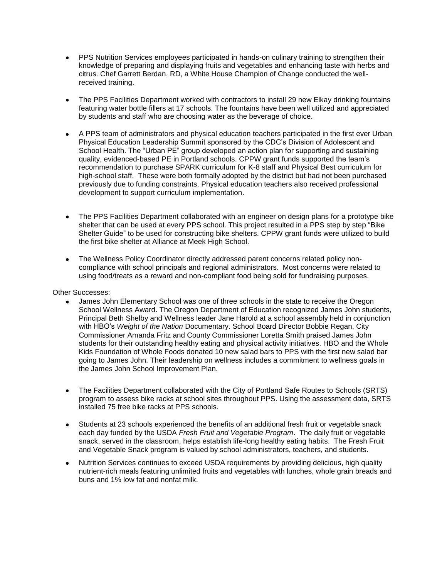- PPS Nutrition Services employees participated in hands-on culinary training to strengthen their knowledge of preparing and displaying fruits and vegetables and enhancing taste with herbs and citrus. Chef Garrett Berdan, RD, a White House Champion of Change conducted the wellreceived training.
- The PPS Facilities Department worked with contractors to install 29 new Elkay drinking fountains featuring water bottle fillers at 17 schools. The fountains have been well utilized and appreciated by students and staff who are choosing water as the beverage of choice.
- A PPS team of administrators and physical education teachers participated in the first ever Urban Physical Education Leadership Summit sponsored by the CDC's Division of Adolescent and School Health. The "Urban PE" group developed an action plan for supporting and sustaining quality, evidenced-based PE in Portland schools. CPPW grant funds supported the team's recommendation to purchase SPARK curriculum for K-8 staff and Physical Best curriculum for high-school staff. These were both formally adopted by the district but had not been purchased previously due to funding constraints. Physical education teachers also received professional development to support curriculum implementation.
- The PPS Facilities Department collaborated with an engineer on design plans for a prototype bike shelter that can be used at every PPS school. This project resulted in a PPS step by step "Bike Shelter Guide" to be used for constructing bike shelters. CPPW grant funds were utilized to build the first bike shelter at Alliance at Meek High School.
- The Wellness Policy Coordinator directly addressed parent concerns related policy non- $\bullet$ compliance with school principals and regional administrators. Most concerns were related to using food/treats as a reward and non-compliant food being sold for fundraising purposes.

#### Other Successes:

- James John Elementary School was one of three schools in the state to receive the Oregon School Wellness Award. The Oregon Department of Education recognized James John students, Principal Beth Shelby and Wellness leader Jane Harold at a school assembly held in conjunction with HBO's *Weight of the Nation* Documentary. School Board Director Bobbie Regan, City Commissioner Amanda Fritz and County Commissioner Loretta Smith praised James John students for their outstanding healthy eating and physical activity initiatives. HBO and the Whole Kids Foundation of Whole Foods donated 10 new salad bars to PPS with the first new salad bar going to James John. Their leadership on wellness includes a commitment to wellness goals in the James John School Improvement Plan.
- The Facilities Department collaborated with the City of Portland Safe Routes to Schools (SRTS)  $\bullet$ program to assess bike racks at school sites throughout PPS. Using the assessment data, SRTS installed 75 free bike racks at PPS schools.
- $\bullet$ Students at 23 schools experienced the benefits of an additional fresh fruit or vegetable snack each day funded by the USDA *Fresh Fruit and Vegetable Program*. The daily fruit or vegetable snack, served in the classroom, helps establish life-long healthy eating habits. The Fresh Fruit and Vegetable Snack program is valued by school administrators, teachers, and students.
- Nutrition Services continues to exceed USDA requirements by providing delicious, high quality nutrient-rich meals featuring unlimited fruits and vegetables with lunches, whole grain breads and buns and 1% low fat and nonfat milk.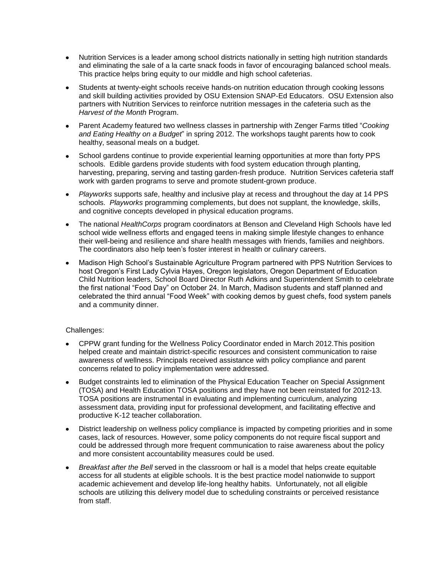- Nutrition Services is a leader among school districts nationally in setting high nutrition standards and eliminating the sale of a la carte snack foods in favor of encouraging balanced school meals. This practice helps bring equity to our middle and high school cafeterias.
- Students at twenty-eight schools receive hands-on nutrition education through cooking lessons and skill building activities provided by OSU Extension SNAP-Ed Educators. OSU Extension also partners with Nutrition Services to reinforce nutrition messages in the cafeteria such as the *Harvest of the Month* Program.
- Parent Academy featured two wellness classes in partnership with Zenger Farms titled "*Cooking and Eating Healthy on a Budget*" in spring 2012. The workshops taught parents how to cook healthy, seasonal meals on a budget.
- School gardens continue to provide experiential learning opportunities at more than forty PPS schools. Edible gardens provide students with food system education through planting, harvesting, preparing, serving and tasting garden-fresh produce. Nutrition Services cafeteria staff work with garden programs to serve and promote student-grown produce.
- *Playworks* supports safe, healthy and inclusive play at recess and throughout the day at 14 PPS schools. *Playworks* programming complements, but does not supplant, the knowledge, skills, and cognitive concepts developed in physical education programs.
- The national *HealthCorps* program coordinators at Benson and Cleveland High Schools have led school wide wellness efforts and engaged teens in making simple lifestyle changes to enhance their well-being and resilience and share health messages with friends, families and neighbors. The coordinators also help teen's foster interest in health or culinary careers.
- Madison High School's Sustainable Agriculture Program partnered with PPS Nutrition Services to host Oregon's First Lady Cylvia Hayes, Oregon legislators, Oregon Department of Education Child Nutrition leaders, School Board Director Ruth Adkins and Superintendent Smith to celebrate the first national "Food Day" on October 24. In March, Madison students and staff planned and celebrated the third annual "Food Week" with cooking demos by guest chefs, food system panels and a community dinner.

#### Challenges:

- CPPW grant funding for the Wellness Policy Coordinator ended in March 2012.This position helped create and maintain district-specific resources and consistent communication to raise awareness of wellness. Principals received assistance with policy compliance and parent concerns related to policy implementation were addressed.
- Budget constraints led to elimination of the Physical Education Teacher on Special Assignment (TOSA) and Health Education TOSA positions and they have not been reinstated for 2012-13. TOSA positions are instrumental in evaluating and implementing curriculum, analyzing assessment data, providing input for professional development, and facilitating effective and productive K-12 teacher collaboration.
- District leadership on wellness policy compliance is impacted by competing priorities and in some cases, lack of resources. However, some policy components do not require fiscal support and could be addressed through more frequent communication to raise awareness about the policy and more consistent accountability measures could be used.
- *Breakfast after the Bell* served in the classroom or hall is a model that helps create equitable  $\bullet$ access for all students at eligible schools. It is the best practice model nationwide to support academic achievement and develop life-long healthy habits. Unfortunately, not all eligible schools are utilizing this delivery model due to scheduling constraints or perceived resistance from staff.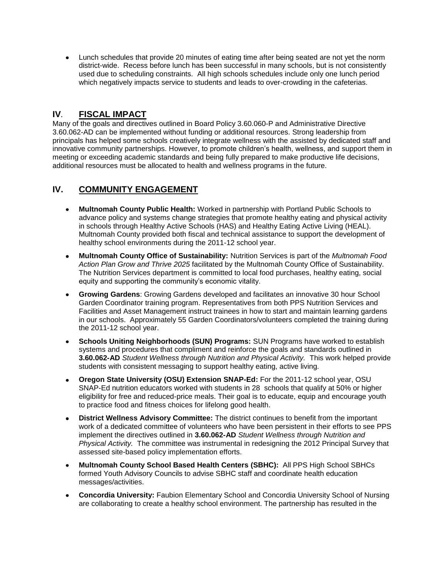Lunch schedules that provide 20 minutes of eating time after being seated are not yet the norm district-wide. Recess before lunch has been successful in many schools, but is not consistently used due to scheduling constraints. All high schools schedules include only one lunch period which negatively impacts service to students and leads to over-crowding in the cafeterias.

## **IV***.* **FISCAL IMPACT**

Many of the goals and directives outlined in Board Policy 3.60.060-P and Administrative Directive 3.60.062-AD can be implemented without funding or additional resources. Strong leadership from principals has helped some schools creatively integrate wellness with the assisted by dedicated staff and innovative community partnerships. However, to promote children's health, wellness, and support them in meeting or exceeding academic standards and being fully prepared to make productive life decisions, additional resources must be allocated to health and wellness programs in the future.

# **IV. COMMUNITY ENGAGEMENT**

- **Multnomah County Public Health:** Worked in partnership with Portland Public Schools to advance policy and systems change strategies that promote healthy eating and physical activity in schools through Healthy Active Schools (HAS) and Healthy Eating Active Living (HEAL). Multnomah County provided both fiscal and technical assistance to support the development of healthy school environments during the 2011-12 school year.
- **Multnomah County Office of Sustainability:** Nutrition Services is part of the *Multnomah Food Action Plan Grow and Thrive 2025* facilitated by the Multnomah County Office of Sustainability. The Nutrition Services department is committed to local food purchases, healthy eating, social equity and supporting the community's economic vitality.
- **Growing Gardens**: Growing Gardens developed and facilitates an innovative 30 hour School Garden Coordinator training program. Representatives from both PPS Nutrition Services and Facilities and Asset Management instruct trainees in how to start and maintain learning gardens in our schools. Approximately 55 Garden Coordinators/volunteers completed the training during the 2011-12 school year.
- **Schools Uniting Neighborhoods (SUN) Programs:** SUN Programs have worked to establish systems and procedures that compliment and reinforce the goals and standards outlined in **3.60.062-AD** *Student Wellness through Nutrition and Physical Activity.* This work helped provide students with consistent messaging to support healthy eating, active living.
- **Oregon State University (OSU) Extension SNAP-Ed:** For the 2011-12 school year, OSU SNAP-Ed nutrition educators worked with students in 28 schools that qualify at 50% or higher eligibility for free and reduced-price meals. Their goal is to educate, equip and encourage youth to practice food and fitness choices for lifelong good health.
- **District Wellness Advisory Committee:** The district continues to benefit from the important work of a dedicated committee of volunteers who have been persistent in their efforts to see PPS implement the directives outlined in **3.60.062-AD** *Student Wellness through Nutrition and Physical Activity.* The committee was instrumental in redesigning the 2012 Principal Survey that assessed site-based policy implementation efforts.
- **Multnomah County School Based Health Centers (SBHC):** All PPS High School SBHCs formed Youth Advisory Councils to advise SBHC staff and coordinate health education messages/activities.
- **Concordia University:** Faubion Elementary School and Concordia University School of Nursing are collaborating to create a healthy school environment. The partnership has resulted in the